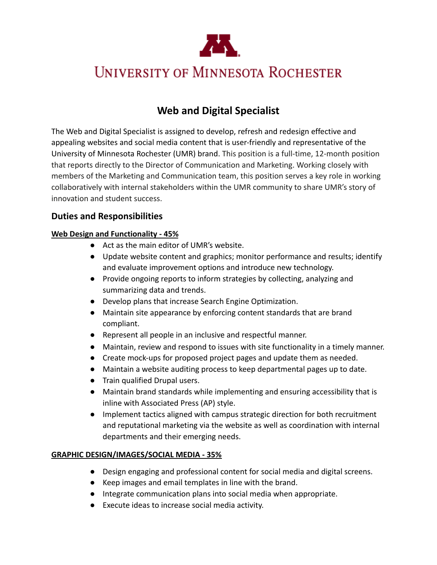

# **UNIVERSITY OF MINNESOTA ROCHESTER**

# **Web and Digital Specialist**

The Web and Digital Specialist is assigned to develop, refresh and redesign effective and appealing websites and social media content that is user-friendly and representative of the University of Minnesota Rochester (UMR) brand. This position is a full-time, 12-month position that reports directly to the Director of Communication and Marketing. Working closely with members of the Marketing and Communication team, this position serves a key role in working collaboratively with internal stakeholders within the UMR community to share UMR's story of innovation and student success.

## **Duties and Responsibilities**

#### **Web Design and Functionality - 45%**

- Act as the main editor of UMR's website.
- Update website content and graphics; monitor performance and results; identify and evaluate improvement options and introduce new technology.
- Provide ongoing reports to inform strategies by collecting, analyzing and summarizing data and trends.
- Develop plans that increase Search Engine Optimization.
- Maintain site appearance by enforcing content standards that are brand compliant.
- Represent all people in an inclusive and respectful manner.
- Maintain, review and respond to issues with site functionality in a timely manner.
- Create mock-ups for proposed project pages and update them as needed.
- Maintain a website auditing process to keep departmental pages up to date.
- Train qualified Drupal users.
- Maintain brand standards while implementing and ensuring accessibility that is inline with Associated Press (AP) style.
- Implement tactics aligned with campus strategic direction for both recruitment and reputational marketing via the website as well as coordination with internal departments and their emerging needs.

#### **GRAPHIC DESIGN/IMAGES/SOCIAL MEDIA - 35%**

- Design engaging and professional content for social media and digital screens.
- Keep images and email templates in line with the brand.
- Integrate communication plans into social media when appropriate.
- Execute ideas to increase social media activity.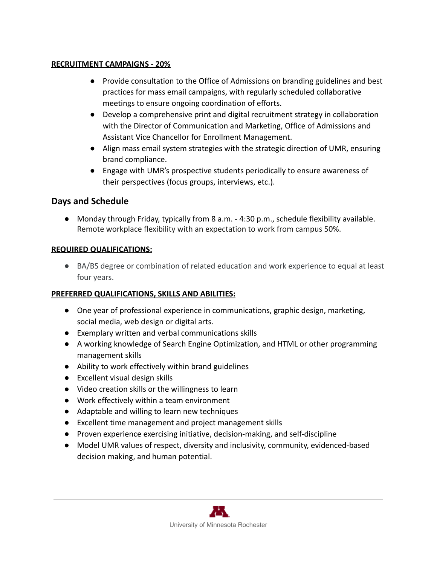#### **RECRUITMENT CAMPAIGNS - 20%**

- Provide consultation to the Office of Admissions on branding guidelines and best practices for mass email campaigns, with regularly scheduled collaborative meetings to ensure ongoing coordination of efforts.
- Develop a comprehensive print and digital recruitment strategy in collaboration with the Director of Communication and Marketing, Office of Admissions and Assistant Vice Chancellor for Enrollment Management.
- Align mass email system strategies with the strategic direction of UMR, ensuring brand compliance.
- Engage with UMR's prospective students periodically to ensure awareness of their perspectives (focus groups, interviews, etc.).

## **Days and Schedule**

● Monday through Friday, typically from 8 a.m. - 4:30 p.m., schedule flexibility available. Remote workplace flexibility with an expectation to work from campus 50%.

#### **REQUIRED QUALIFICATIONS:**

● BA/BS degree or combination of related education and work experience to equal at least four years.

#### **PREFERRED QUALIFICATIONS, SKILLS AND ABILITIES:**

- One year of professional experience in communications, graphic design, marketing, social media, web design or digital arts.
- Exemplary written and verbal communications skills
- A working knowledge of Search Engine Optimization, and HTML or other programming management skills
- Ability to work effectively within brand guidelines
- Excellent visual design skills
- Video creation skills or the willingness to learn
- Work effectively within a team environment
- Adaptable and willing to learn new techniques
- Excellent time management and project management skills
- Proven experience exercising initiative, decision-making, and self-discipline
- Model UMR values of respect, diversity and inclusivity, community, evidenced-based decision making, and human potential.